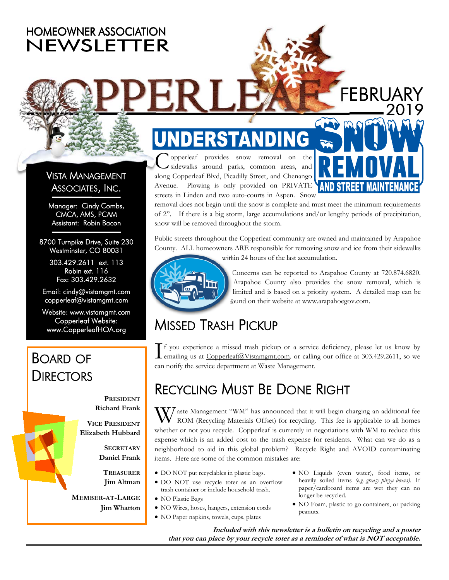### **HOMEOWNER ASSOCIATION** NEWSLETTER

### VISTA MANAGEMENT ASSOCIATES, INC.

Manager: Cindy Combs, CMCA, AMS, PCAM Assistant: Robin Bacon

8700 Turnpike Drive, Suite 230 Westminster, CO 80031

> 303.429.2611 ext. 113 Robin ext. 116 Fax: 303.429.2632

Email: cindy@vistamgmt.com copperleaf@vistamgmt.com

Website: www.vistamgmt.com Copperleaf Website: www.CopperleafHOA.org

### BOARD OF **DIRECTORS**

**PRESIDENT Richard Frank** 

**VICE PRESIDENT Elizabeth Hubbard** 

> **SECRETARY Daniel Frank**

**TREASURER Jim Altman** 

**MEMBER-AT-LARGE Jim Whatton**

# G

opperleaf provides snow removal on the sidewalks around parks, common areas, and along Copperleaf Blvd, Picadilly Street, and Chenango Avenue. Plowing is only provided on PRIVATE streets in Linden and two auto-courts in Aspen. Snow



FEBRUARY

removal does not begin until the snow is complete and must meet the minimum requirements of 2". If there is a big storm, large accumulations and/or lengthy periods of precipitation, snow will be removed throughout the storm.

Public streets throughout the Copperleaf community are owned and maintained by Arapahoe County. ALL homeowners ARE responsible for removing snow and ice from their sidewalks

within 24 hours of the last accumulation.



Concerns can be reported to Arapahoe County at 720.874.6820. Arapahoe County also provides the snow removal, which is limited and is based on a priority system. A detailed map can be found on their website at www.arapahoegov.com.

## MISSED TRASH PICKUP

If you experience a missed trash pickup or a service deficiency, please let us know by emailing us at Copperleaf@Vistamgmt.com. or calling our office at 303.429.2611, so we can notify the service department at Waste Management.

### RECYCLING MUST BE DONE RIGHT

 $\mathbf{V}/$  aste Management "WM" has announced that it will begin charging an additional fee ROM (Recycling Materials Offset) for recycling. This fee is applicable to all homes whether or not you recycle. Copperleaf is currently in negotiations with WM to reduce this expense which is an added cost to the trash expense for residents. What can we do as a neighborhood to aid in this global problem? Recycle Right and AVOID contaminating items. Here are some of the common mistakes are:

- DO NOT put recyclables in plastic bags.
- DO NOT use recycle toter as an overflow trash container or include household trash.
- NO Plastic Bags
- NO Wires, hoses, hangers, extension cords
- NO Paper napkins, towels, cups, plates
- NO Liquids (even water), food items, or heavily soiled items *(e.g. greasy pizza boxes).* If paper/cardboard items are wet they can no longer be recycled.
- NO Foam, plastic to go containers, or packing peanuts.

**Included with this newsletter is a bulletin on recycling and a poster that you can place by your recycle toter as a reminder of what is NOT acceptable.**